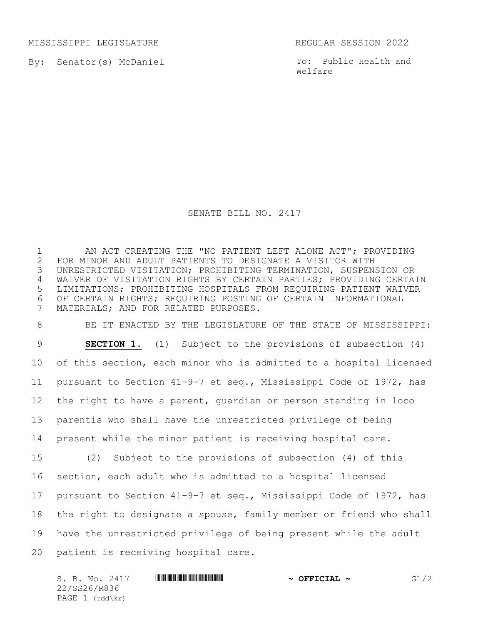MISSISSIPPI LEGISLATURE REGULAR SESSION 2022

By: Senator(s) McDaniel

To: Public Health and Welfare

## SENATE BILL NO. 2417

 AN ACT CREATING THE "NO PATIENT LEFT ALONE ACT"; PROVIDING 2 FOR MINOR AND ADULT PATIENTS TO DESIGNATE A VISITOR WITH<br>3 UNRESTRICTED VISITATION; PROHIBITING TERMINATION, SUSPEN: UNRESTRICTED VISITATION; PROHIBITING TERMINATION, SUSPENSION OR WAIVER OF VISITATION RIGHTS BY CERTAIN PARTIES; PROVIDING CERTAIN LIMITATIONS; PROHIBITING HOSPITALS FROM REQUIRING PATIENT WAIVER OF CERTAIN RIGHTS; REQUIRING POSTING OF CERTAIN INFORMATIONAL MATERIALS; AND FOR RELATED PURPOSES.

 BE IT ENACTED BY THE LEGISLATURE OF THE STATE OF MISSISSIPPI: **SECTION 1.** (1) Subject to the provisions of subsection (4) of this section, each minor who is admitted to a hospital licensed pursuant to Section 41-9-7 et seq., Mississippi Code of 1972, has the right to have a parent, guardian or person standing in loco parentis who shall have the unrestricted privilege of being present while the minor patient is receiving hospital care. (2) Subject to the provisions of subsection (4) of this section, each adult who is admitted to a hospital licensed pursuant to Section 41-9-7 et seq., Mississippi Code of 1972, has the right to designate a spouse, family member or friend who shall have the unrestricted privilege of being present while the adult patient is receiving hospital care.

S. B. No. 2417 **\*\*\* A SECONDENT ASSECTED A SECONDENT OF SECONDENT AND SECONDENT AND SECONDENT AND SECONDENT AND SECONDENT AND SECONDENT AND GENERAL**  $\sim$  **GeV/2** 22/SS26/R836 PAGE 1 (rdd\kr)